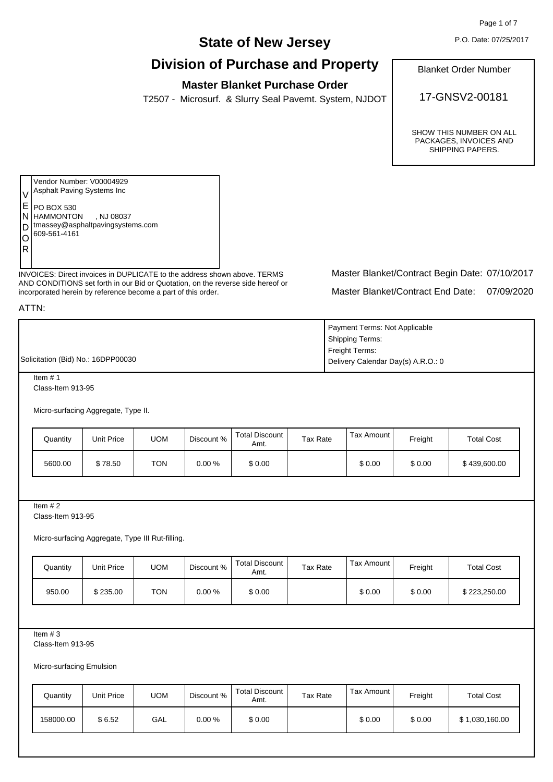Page 1 of 7

P.O. Date: 07/25/2017

# **State of New Jersey**

# **Division of Purchase and Property**

## **Master Blanket Purchase Order**

T2507 - Microsurf. & Slurry Seal Pavemt. System, NJDOT

Blanket Order Number

17-GNSV2-00181

SHOW THIS NUMBER ON ALL PACKAGES, INVOICES AND SHIPPING PAPERS.

Vendor Number: V00004929 Asphalt Paving Systems Inc PO BOX 530 N HAMMONTON , NJ 08037 tmassey@asphaltpavingsystems.com 609-561-4161 V E D O R

INVOICES: Direct invoices in DUPLICATE to the address shown above. TERMS AND CONDITIONS set forth in our Bid or Quotation, on the reverse side hereof or incorporated herein by reference become a part of this order.

Master Blanket/Contract End Date: 07/09/2020 Master Blanket/Contract Begin Date: 07/10/2017

ATTN:

|                                    | Payment Terms: Not Applicable                   |
|------------------------------------|-------------------------------------------------|
|                                    | <b>Shipping Terms:</b>                          |
|                                    | Freight Terms:                                  |
| Solicitation (Bid) No.: 16DPP00030 | <sup>I</sup> Delivery Calendar Day(s) A.R.O.: 0 |

Item # 1 Class-Item 913-95

Micro-surfacing Aggregate, Type II.

| Quantity | Unit Price | <b>UOM</b> | Discount % | Total Discount<br>Amt. | Tax Rate | Tax Amount I | Freight | <b>Total Cost</b> |
|----------|------------|------------|------------|------------------------|----------|--------------|---------|-------------------|
| 5600.00  | \$78.50    | <b>TON</b> | $0.00 \%$  | \$0.00                 |          | \$0.00       | \$0.00  | \$439,600.00      |

Item  $# 2$ 

Class-Item 913-95

Micro-surfacing Aggregate, Type III Rut-filling.

| Quantity | Unit Price | UOM | Discount % | <b>Total Discount</b><br>Amt. | Tax Rate | Tax Amount | Freight | <b>Total Cost</b> |
|----------|------------|-----|------------|-------------------------------|----------|------------|---------|-------------------|
| 950.00   | \$235.00   | TON | 0.00 %     | \$0.00                        |          | \$0.00     | \$0.00  | \$223,250.00      |

Item  $# 3$ 

Class-Item 913-95

Micro-surfacing Emulsion

| Quantity  | Unit Price | UOM | Discount % | <b>Total Discount</b><br>Amt. | Tax Rate | Tax Amount I | Freight | <b>Total Cost</b> |
|-----------|------------|-----|------------|-------------------------------|----------|--------------|---------|-------------------|
| 158000.00 | \$6.52     | GAL | 0.00 %     | \$0.00                        |          | \$0.00       | \$0.00  | \$1,030,160.00    |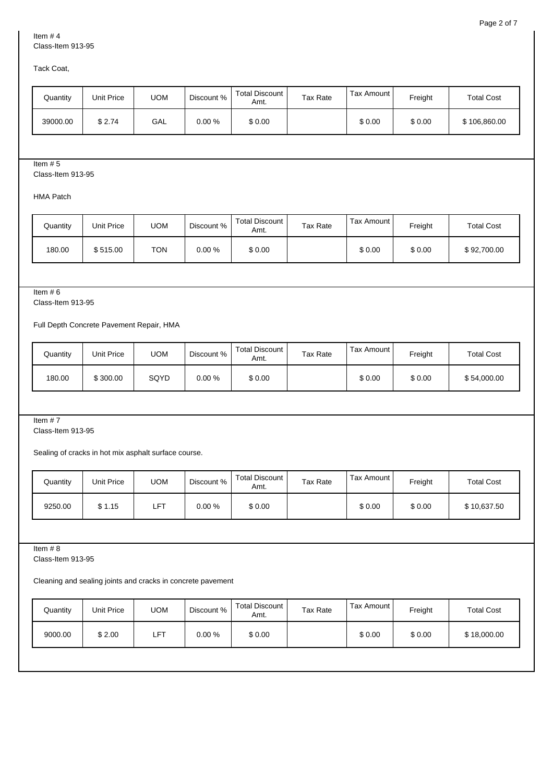Tack Coat,

| Quantity | Unit Price | UOM | Discount % | Total Discount<br>Amt. | Tax Rate | Tax Amount I | Freight | <b>Total Cost</b> |
|----------|------------|-----|------------|------------------------|----------|--------------|---------|-------------------|
| 39000.00 | \$2.74     | GAL | 0.00 %     | \$0.00                 |          | \$0.00       | \$0.00  | \$106,860.00      |

## Item # 5

Class-Item 913-95

HMA Patch

| Quantity | Unit Price | UOM        | Discount % | Total Discount<br>Amt. | <b>Tax Rate</b> | Tax Amount I | Freight | <b>Total Cost</b> |
|----------|------------|------------|------------|------------------------|-----------------|--------------|---------|-------------------|
| 180.00   | \$515.00   | <b>TON</b> | 0.00 %     | \$0.00                 |                 | \$0.00       | \$0.00  | \$92,700.00       |

Item # 6

Class-Item 913-95

Full Depth Concrete Pavement Repair, HMA

| Quantity | Unit Price | <b>UOM</b> | Discount % | Total Discount<br>Amt. | Tax Rate | Tax Amount I | Freight | <b>Total Cost</b> |
|----------|------------|------------|------------|------------------------|----------|--------------|---------|-------------------|
| 180.00   | \$300.00   | SQYD       | 0.00 %     | \$0.00                 |          | \$0.00       | \$0.00  | \$54,000.00       |

Item # 7

Class-Item 913-95

Sealing of cracks in hot mix asphalt surface course.

| Quantity | Unit Price | UOM | Discount % | Total Discount I<br>Amt. | <b>Tax Rate</b> | Tax Amount I | Freight | <b>Total Cost</b> |
|----------|------------|-----|------------|--------------------------|-----------------|--------------|---------|-------------------|
| 9250.00  | \$1.15     | LFT | 0.00 %     | \$0.00                   |                 | \$0.00       | \$0.00  | \$10,637.50       |

Item # 8

Class-Item 913-95

Cleaning and sealing joints and cracks in concrete pavement

| Quantity | Unit Price | <b>UOM</b> | Discount % | Total Discount  <br>Amt. | Tax Rate | Tax Amount | Freight | <b>Total Cost</b> |
|----------|------------|------------|------------|--------------------------|----------|------------|---------|-------------------|
| 9000.00  | \$2.00     | LFT        | 0.00%      | \$0.00                   |          | \$0.00     | \$0.00  | \$18,000.00       |
|          |            |            |            |                          |          |            |         |                   |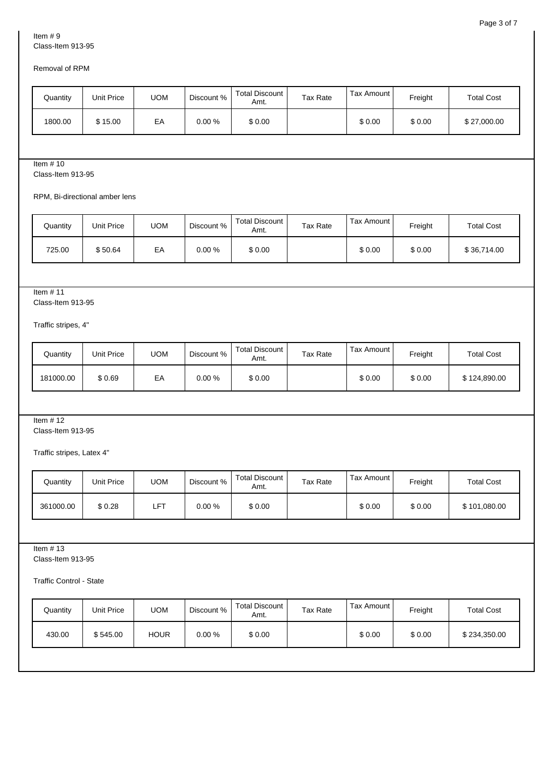### Removal of RPM

| Quantity | Unit Price | UOM | Discount % | Total Discount I<br>Amt. | Tax Rate | Tax Amount I | Freight | <b>Total Cost</b> |
|----------|------------|-----|------------|--------------------------|----------|--------------|---------|-------------------|
| 1800.00  | \$15.00    | EA  | 0.00 %     | \$0.00                   |          | \$0.00       | \$0.00  | \$27,000.00       |

#### Item # 10

Class-Item 913-95

RPM, Bi-directional amber lens

| Quantity | Unit Price | <b>UOM</b> | Discount % | Total Discount I<br>Amt. | Tax Rate | Tax Amount I | Freight | <b>Total Cost</b> |
|----------|------------|------------|------------|--------------------------|----------|--------------|---------|-------------------|
| 725.00   | \$50.64    | EA         | $0.00 \%$  | \$0.00                   |          | \$0.00       | \$0.00  | \$36,714.00       |

## Item # 11

Class-Item 913-95

Traffic stripes, 4"

| Quantity  | Unit Price | <b>UOM</b> | Discount % | Total Discount<br>Amt. | Tax Rate | Tax Amount I | Freight | <b>Total Cost</b> |
|-----------|------------|------------|------------|------------------------|----------|--------------|---------|-------------------|
| 181000.00 | \$0.69     | EA         | $0.00 \%$  | \$0.00                 |          | \$0.00       | \$0.00  | \$124,890,00      |

### Item # 12

Class-Item 913-95

Traffic stripes, Latex 4"

| Quantity  | Unit Price | UOM | Discount % | Total Discount<br>Amt. | Tax Rate | Tax Amount I | Freight | <b>Total Cost</b> |
|-----------|------------|-----|------------|------------------------|----------|--------------|---------|-------------------|
| 361000.00 | \$0.28     | LFT | 0.00 %     | \$0.00                 |          | \$0.00       | \$0.00  | \$101,080.00      |

Item  $# 13$ 

Class-Item 913-95

Traffic Control - State

| Quantity | Unit Price | <b>UOM</b>  | Discount % | Total Discount  <br>Amt. | <b>Tax Rate</b> | Tax Amount | Freight | <b>Total Cost</b> |
|----------|------------|-------------|------------|--------------------------|-----------------|------------|---------|-------------------|
| 430.00   | \$545.00   | <b>HOUR</b> | $0.00 \%$  | \$0.00                   |                 | \$0.00     | \$0.00  | \$234,350.00      |
|          |            |             |            |                          |                 |            |         |                   |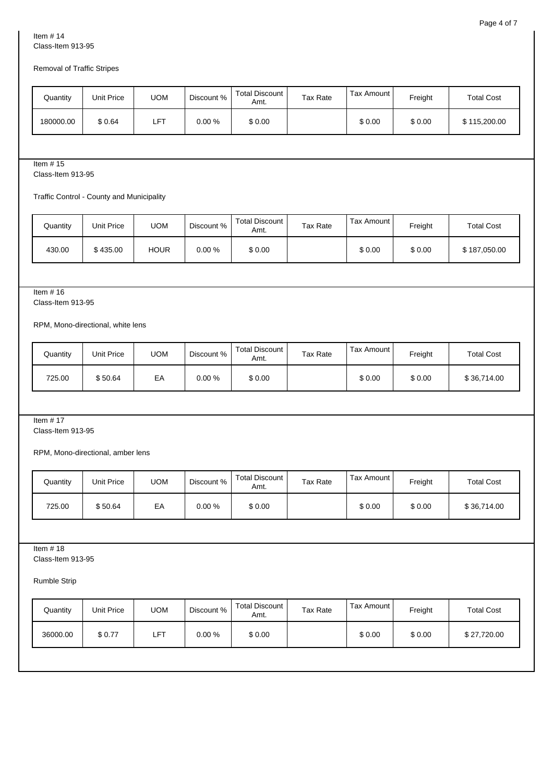## Removal of Traffic Stripes

| Quantity  | Unit Price | UOM        | Discount % | Total Discount  <br>Amt. | <b>Tax Rate</b> | Tax Amount I | Freight | <b>Total Cost</b> |
|-----------|------------|------------|------------|--------------------------|-----------------|--------------|---------|-------------------|
| 180000.00 | \$0.64     | <b>LFT</b> | 0.00 %     | \$0.00                   |                 | \$0.00       | \$0.00  | \$115,200.00      |

## Item # 15

Class-Item 913-95

Traffic Control - County and Municipality

| Quantity | Unit Price | UOM         | Discount % | Total Discount 1<br>Amt. | Tax Rate | Tax Amount I | Freight | <b>Total Cost</b> |
|----------|------------|-------------|------------|--------------------------|----------|--------------|---------|-------------------|
| 430.00   | \$435.00   | <b>HOUR</b> | $0.00 \%$  | \$0.00                   |          | \$0.00       | \$0.00  | \$187,050.00      |

## Item # 16

Class-Item 913-95

#### RPM, Mono-directional, white lens

| Quantity | Unit Price | <b>UOM</b> | Discount % | Total Discount<br>Amt. | Tax Rate | Tax Amount I | Freight | <b>Total Cost</b> |
|----------|------------|------------|------------|------------------------|----------|--------------|---------|-------------------|
| 725.00   | \$50.64    | EA         | 0.00 %     | \$0.00                 |          | \$0.00       | \$0.00  | \$36,714.00       |

## Item # 17

Class-Item 913-95

RPM, Mono-directional, amber lens

| Quantity | Unit Price | UOM | Discount % | Total Discount<br>Amt. | Tax Rate | Tax Amount I | Freight | <b>Total Cost</b> |
|----------|------------|-----|------------|------------------------|----------|--------------|---------|-------------------|
| 725.00   | \$50.64    | EA  | 0.00 %     | \$0.00                 |          | \$0.00       | \$0.00  | \$36,714.00       |

Item  $# 18$ 

Class-Item 913-95

Rumble Strip

| Quantity | Unit Price | <b>UOM</b> | Discount % | Total Discount  <br>Amt. | <b>Tax Rate</b> | Tax Amount I | Freight | <b>Total Cost</b> |
|----------|------------|------------|------------|--------------------------|-----------------|--------------|---------|-------------------|
| 36000.00 | \$0.77     | LFT        | 0.00%      | \$0.00                   |                 | \$0.00       | \$0.00  | \$27,720.00       |
|          |            |            |            |                          |                 |              |         |                   |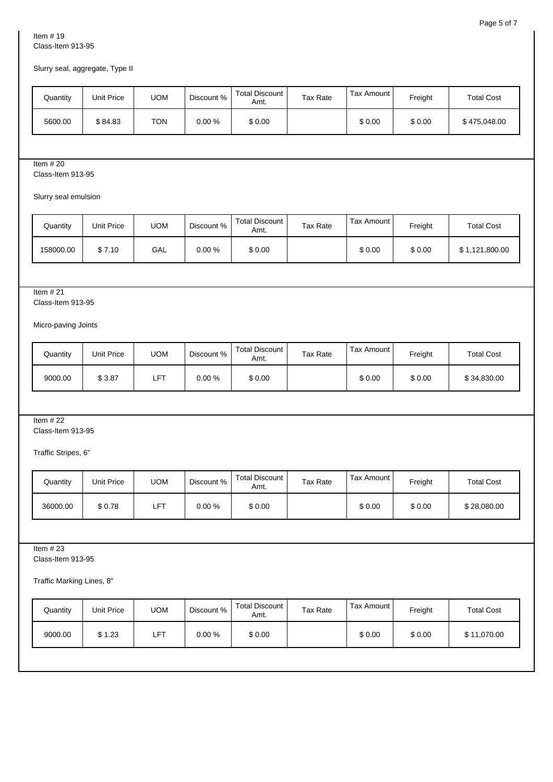## Slurry seal, aggregate, Type II

| Quantity | Unit Price | <b>UOM</b> | Discount % | <b>Total Discount</b><br>Amt. | Tax Rate | Tax Amount I | Freight | <b>Total Cost</b> |
|----------|------------|------------|------------|-------------------------------|----------|--------------|---------|-------------------|
| 5600.00  | \$84.83    | <b>TON</b> | $0.00\%$   | \$0.00                        |          | \$0.00       | \$0.00  | \$475,048.00      |

## Item # 20

Class-Item 913-95

Slurry seal emulsion

| Quantity  | Unit Price | UOM | Discount % | <b>Total Discount</b><br>Amt. | Tax Rate | Tax Amount I | Freight | <b>Total Cost</b> |
|-----------|------------|-----|------------|-------------------------------|----------|--------------|---------|-------------------|
| 158000.00 | \$7.10     | GAL | 0.00 %     | \$0.00                        |          | \$0.00       | \$0.00  | \$1,121,800.00    |

## Item # 21

Class-Item 913-95

Micro-paving Joints

| Quantity | Unit Price | UOM | Discount % | Total Discount<br>Amt. | Tax Rate | Tax Amount I | Freight | <b>Total Cost</b> |
|----------|------------|-----|------------|------------------------|----------|--------------|---------|-------------------|
| 9000.00  | \$3.87     | LFT | 0.00 %     | \$0.00                 |          | \$0.00       | \$0.00  | \$34,830.00       |

#### Item # 22

Class-Item 913-95

Traffic Stripes, 6"

| Quantity | Unit Price | UOM        | Discount % | Total Discount I<br>Amt. | Tax Rate | Tax Amount I | Freight | <b>Total Cost</b> |
|----------|------------|------------|------------|--------------------------|----------|--------------|---------|-------------------|
| 36000.00 | \$0.78     | <b>LFT</b> | 0.00 %     | \$0.00                   |          | \$0.00       | \$0.00  | \$28,080.00       |

Item  $#23$ 

Class-Item 913-95

Traffic Marking Lines, 8"

| Quantity | Unit Price | <b>UOM</b> | Discount % | Total Discount  <br>Amt. | Tax Rate | Tax Amount I | Freight | <b>Total Cost</b> |
|----------|------------|------------|------------|--------------------------|----------|--------------|---------|-------------------|
| 9000.00  | \$1.23     | <b>LFT</b> | $0.00 \%$  | \$0.00                   |          | \$0.00       | \$0.00  | \$11,070.00       |
|          |            |            |            |                          |          |              |         |                   |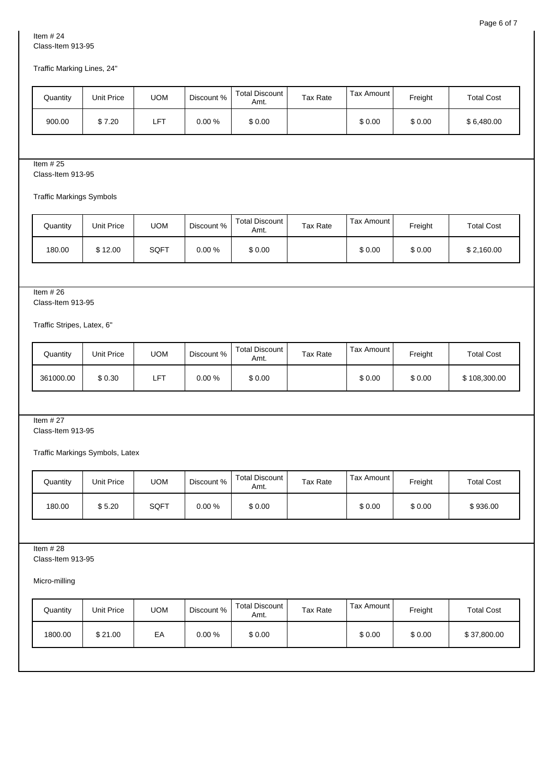Traffic Marking Lines, 24"

| Quantity | Unit Price | UOM        | Discount % | Total Discount  <br>Amt. | Tax Rate | Tax Amount I | Freight | <b>Total Cost</b> |
|----------|------------|------------|------------|--------------------------|----------|--------------|---------|-------------------|
| 900.00   | \$7.20     | <b>LFT</b> | 0.00 %     | \$0.00                   |          | \$0.00       | \$0.00  | \$6,480.00        |

## Item # 25

Class-Item 913-95

Traffic Markings Symbols

| Quantity | Unit Price | UOM  | Discount % | Total Discount<br>Amt. | <b>Tax Rate</b> | Tax Amount I | Freight | <b>Total Cost</b> |
|----------|------------|------|------------|------------------------|-----------------|--------------|---------|-------------------|
| 180.00   | \$12.00    | SQFT | 0.00 %     | \$0.00                 |                 | \$0.00       | \$0.00  | \$2,160.00        |

#### Item # 26

Class-Item 913-95

Traffic Stripes, Latex, 6"

| Quantity  | Unit Price | UOM | Discount % | Total Discount<br>Amt. | Tax Rate | Tax Amount I | Freight | <b>Total Cost</b> |
|-----------|------------|-----|------------|------------------------|----------|--------------|---------|-------------------|
| 361000.00 | \$0.30     | LFT | 0.00 %     | \$0.00                 |          | \$0.00       | \$0.00  | \$108,300.00      |

#### Item # 27

Class-Item 913-95

Traffic Markings Symbols, Latex

| Quantity | Unit Price | UOM  | Discount % | Total Discount  <br>Amt. | Tax Rate | Tax Amount I | Freight | <b>Total Cost</b> |
|----------|------------|------|------------|--------------------------|----------|--------------|---------|-------------------|
| 180.00   | \$5.20     | SQFT | 0.00 %     | \$0.00                   |          | \$0.00       | \$0.00  | \$936.00          |

Item  $#28$ 

Class-Item 913-95

Micro-milling

| \$0.00<br>\$21.00<br>\$0.00<br>1800.00<br>EA<br>\$0.00<br>\$37,800.00<br>$0.00 \%$ | Quantity | Unit Price | <b>UOM</b> | Discount % | Total Discount  <br>Amt. | <b>Tax Rate</b> | Tax Amount | Freight | <b>Total Cost</b> |
|------------------------------------------------------------------------------------|----------|------------|------------|------------|--------------------------|-----------------|------------|---------|-------------------|
|                                                                                    |          |            |            |            |                          |                 |            |         |                   |